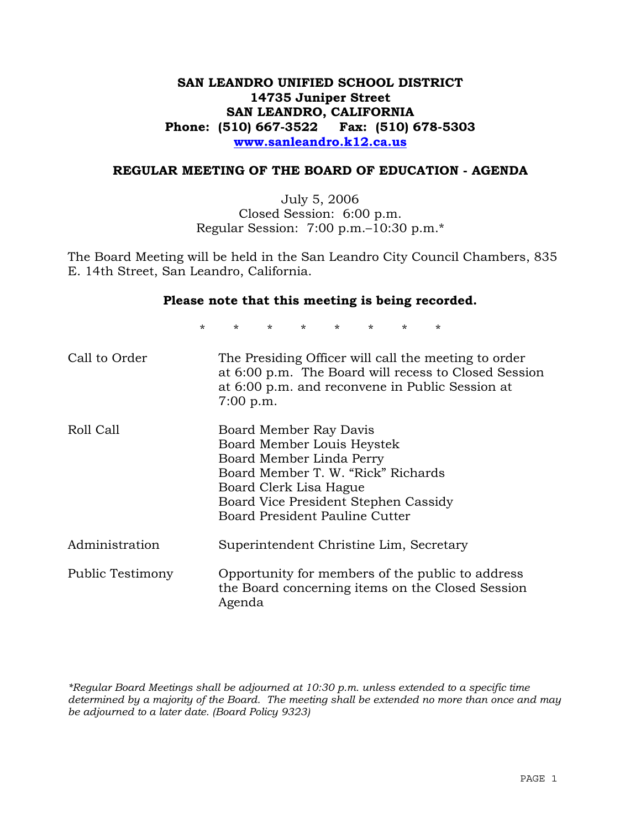# **SAN LEANDRO UNIFIED SCHOOL DISTRICT 14735 Juniper Street SAN LEANDRO, CALIFORNIA Phone: (510) 667-3522 Fax: (510) 678-5303 www.sanleandro.k12.ca.us**

# **REGULAR MEETING OF THE BOARD OF EDUCATION - AGENDA**

July 5, 2006 Closed Session: 6:00 p.m. Regular Session: 7:00 p.m.–10:30 p.m.\*

The Board Meeting will be held in the San Leandro City Council Chambers, 835 E. 14th Street, San Leandro, California.

#### **Please note that this meeting is being recorded.**

\* \* \* \* \* \* \* \*

| Call to Order    | The Presiding Officer will call the meeting to order<br>at 6:00 p.m. The Board will recess to Closed Session<br>at 6:00 p.m. and reconvene in Public Session at<br>$7:00$ p.m.                                             |
|------------------|----------------------------------------------------------------------------------------------------------------------------------------------------------------------------------------------------------------------------|
| Roll Call        | Board Member Ray Davis<br>Board Member Louis Heystek<br>Board Member Linda Perry<br>Board Member T. W. "Rick" Richards<br>Board Clerk Lisa Hague<br>Board Vice President Stephen Cassidy<br>Board President Pauline Cutter |
| Administration   | Superintendent Christine Lim, Secretary                                                                                                                                                                                    |
| Public Testimony | Opportunity for members of the public to address<br>the Board concerning items on the Closed Session<br>Agenda                                                                                                             |

*\*Regular Board Meetings shall be adjourned at 10:30 p.m. unless extended to a specific time determined by a majority of the Board. The meeting shall be extended no more than once and may be adjourned to a later date. (Board Policy 9323)*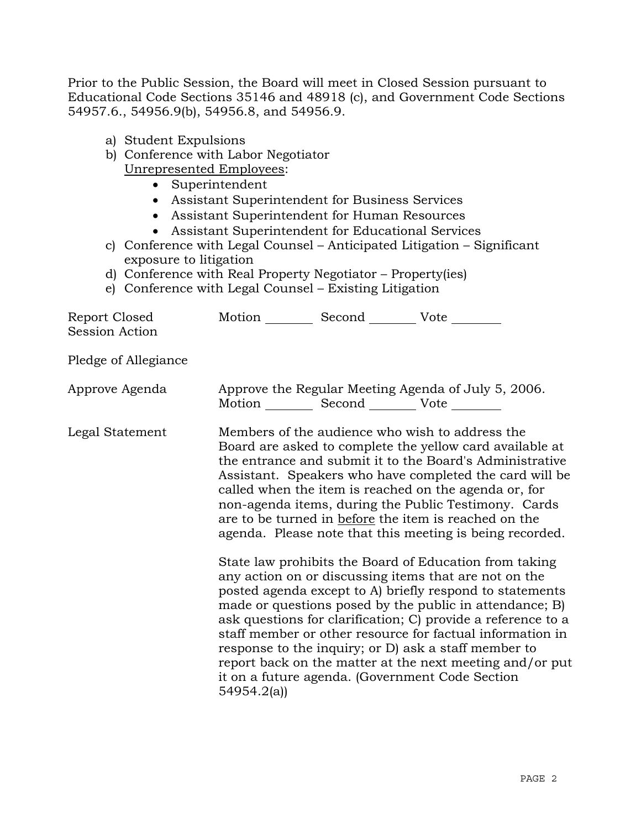Prior to the Public Session, the Board will meet in Closed Session pursuant to Educational Code Sections 35146 and 48918 (c), and Government Code Sections 54957.6., 54956.9(b), 54956.8, and 54956.9.

| a) Student Expulsions<br>Unrepresented Employees:<br>$\bullet$<br>$\bullet$<br>$\bullet$<br>$\bullet$<br>exposure to litigation | b) Conference with Labor Negotiator<br>Superintendent<br>Assistant Superintendent for Business Services<br>Assistant Superintendent for Human Resources<br>Assistant Superintendent for Educational Services<br>d) Conference with Real Property Negotiator – Property (ies) | c) Conference with Legal Counsel - Anticipated Litigation - Significant                                                                                                                                                                                                                                                                                                                                                                                                                                                                    |
|---------------------------------------------------------------------------------------------------------------------------------|------------------------------------------------------------------------------------------------------------------------------------------------------------------------------------------------------------------------------------------------------------------------------|--------------------------------------------------------------------------------------------------------------------------------------------------------------------------------------------------------------------------------------------------------------------------------------------------------------------------------------------------------------------------------------------------------------------------------------------------------------------------------------------------------------------------------------------|
| Report Closed<br><b>Session Action</b>                                                                                          | e) Conference with Legal Counsel – Existing Litigation<br>Motion __________ Second __________ Vote ________                                                                                                                                                                  |                                                                                                                                                                                                                                                                                                                                                                                                                                                                                                                                            |
| Pledge of Allegiance                                                                                                            |                                                                                                                                                                                                                                                                              |                                                                                                                                                                                                                                                                                                                                                                                                                                                                                                                                            |
| Approve Agenda                                                                                                                  | Motion ___________ Second _____________ Vote _________                                                                                                                                                                                                                       | Approve the Regular Meeting Agenda of July 5, 2006.                                                                                                                                                                                                                                                                                                                                                                                                                                                                                        |
| Legal Statement                                                                                                                 |                                                                                                                                                                                                                                                                              | Members of the audience who wish to address the<br>Board are asked to complete the yellow card available at<br>the entrance and submit it to the Board's Administrative<br>Assistant. Speakers who have completed the card will be<br>called when the item is reached on the agenda or, for<br>non-agenda items, during the Public Testimony. Cards<br>are to be turned in before the item is reached on the<br>agenda. Please note that this meeting is being recorded.                                                                   |
|                                                                                                                                 | 54954.2(a)                                                                                                                                                                                                                                                                   | State law prohibits the Board of Education from taking<br>any action on or discussing items that are not on the<br>posted agenda except to A) briefly respond to statements<br>made or questions posed by the public in attendance; B)<br>ask questions for clarification; C) provide a reference to a<br>staff member or other resource for factual information in<br>response to the inquiry; or D) ask a staff member to<br>report back on the matter at the next meeting and/or put<br>it on a future agenda. (Government Code Section |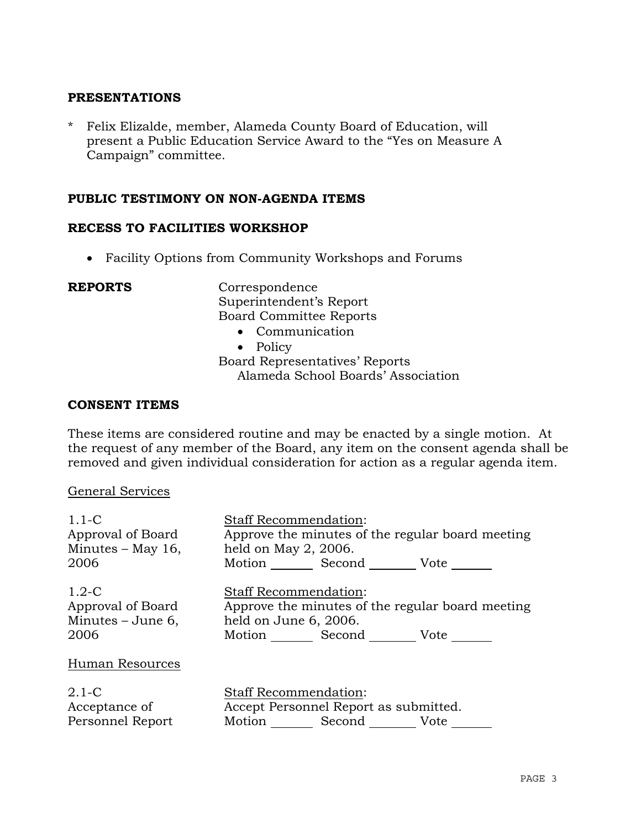# **PRESENTATIONS**

\* Felix Elizalde, member, Alameda County Board of Education, will present a Public Education Service Award to the "Yes on Measure A Campaign" committee.

# **PUBLIC TESTIMONY ON NON-AGENDA ITEMS**

### **RECESS TO FACILITIES WORKSHOP**

• Facility Options from Community Workshops and Forums

**REPORTS** Correspondence Superintendent's Report Board Committee Reports

- Communication
- Policy

Board Representatives' Reports Alameda School Boards' Association

### **CONSENT ITEMS**

These items are considered routine and may be enacted by a single motion. At the request of any member of the Board, any item on the consent agenda shall be removed and given individual consideration for action as a regular agenda item.

#### General Services

| $1.1-C$             | <b>Staff Recommendation:</b>                     |
|---------------------|--------------------------------------------------|
| Approval of Board   | Approve the minutes of the regular board meeting |
| Minutes $-$ May 16, | held on May 2, 2006.                             |
| 2006                | Motion ______ Second _________ Vote _______      |
| $1.2-C$             | <b>Staff Recommendation:</b>                     |
| Approval of Board   | Approve the minutes of the regular board meeting |
| Minutes $-$ June 6, | held on June 6, 2006.                            |
| 2006                | Motion Second Vote                               |
| Human Resources     |                                                  |
| $2.1-C$             | <b>Staff Recommendation:</b>                     |
| Acceptance of       | Accept Personnel Report as submitted.            |
| Personnel Report    | Motion Second Vote                               |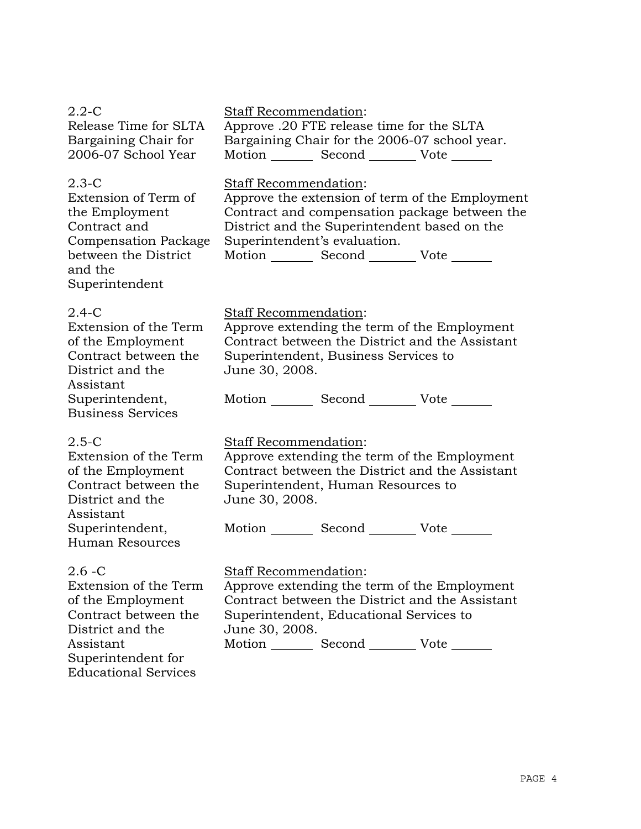| 2.2-C<br>Release Time for SLTA<br>Bargaining Chair for<br>2006-07 School Year                                                                                 | Staff Recommendation:<br>Approve .20 FTE release time for the SLTA<br>Bargaining Chair for the 2006-07 school year.<br>Motion _________ Second __________ Vote _______                                                                                       |
|---------------------------------------------------------------------------------------------------------------------------------------------------------------|--------------------------------------------------------------------------------------------------------------------------------------------------------------------------------------------------------------------------------------------------------------|
| $2.3 - C$<br>Extension of Term of<br>the Employment<br>Contract and<br><b>Compensation Package</b><br>between the District<br>and the<br>Superintendent       | Staff Recommendation:<br>Approve the extension of term of the Employment<br>Contract and compensation package between the<br>District and the Superintendent based on the<br>Superintendent's evaluation.<br>Motion _________ Second __________ Vote _______ |
| 2.4-C<br>Extension of the Term<br>of the Employment<br>Contract between the<br>District and the<br>Assistant<br>Superintendent,                               | Staff Recommendation:<br>Approve extending the term of the Employment<br>Contract between the District and the Assistant<br>Superintendent, Business Services to<br>June 30, 2008.<br>Motion Second Vote                                                     |
| <b>Business Services</b>                                                                                                                                      |                                                                                                                                                                                                                                                              |
| $2.5 - C$<br>Extension of the Term<br>of the Employment<br>Contract between the<br>District and the<br>Assistant<br>Superintendent,<br><b>Human Resources</b> | Staff Recommendation:<br>Approve extending the term of the Employment<br>Contract between the District and the Assistant<br>Superintendent, Human Resources to<br>June 30, 2008.<br>Motion _________ Second __________ Vote ______                           |
| $2.6 - C$<br>Extension of the Term<br>of the Employment<br>Contract between the<br>District and the<br>Assistant<br>Superintendent for                        | <b>Staff Recommendation:</b><br>Approve extending the term of the Employment<br>Contract between the District and the Assistant<br>Superintendent, Educational Services to<br>June 30, 2008.<br>Motion _________ Second __________ Vote _______              |

Educational Services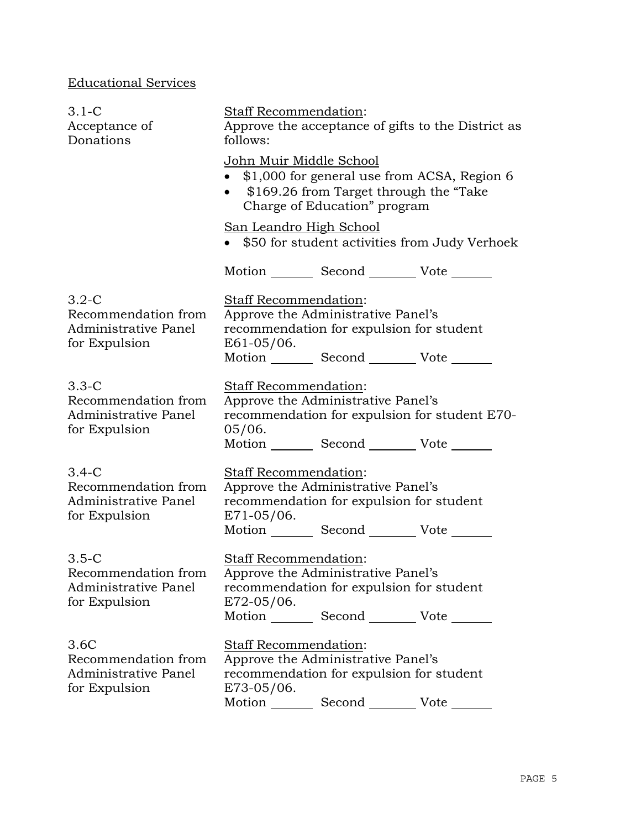# Educational Services

| $3.1-C$<br>Acceptance of<br>Donations                                     | Staff Recommendation:<br>Approve the acceptance of gifts to the District as<br>follows:<br>John Muir Middle School<br>\$1,000 for general use from ACSA, Region 6<br>\$169.26 from Target through the "Take"<br>Charge of Education" program |  |
|---------------------------------------------------------------------------|----------------------------------------------------------------------------------------------------------------------------------------------------------------------------------------------------------------------------------------------|--|
|                                                                           |                                                                                                                                                                                                                                              |  |
|                                                                           | San Leandro High School<br>\$50 for student activities from Judy Verhoek                                                                                                                                                                     |  |
|                                                                           | Motion Second Vote                                                                                                                                                                                                                           |  |
| $3.2 - C$<br>Recommendation from<br>Administrative Panel<br>for Expulsion | Staff Recommendation:<br>Approve the Administrative Panel's<br>recommendation for expulsion for student<br>E61-05/06.<br>Motion _________ Second __________ Vote ______                                                                      |  |
| $3.3 - C$<br>Recommendation from<br>Administrative Panel<br>for Expulsion | Staff Recommendation:<br>Approve the Administrative Panel's<br>recommendation for expulsion for student E70-<br>05/06.<br>Motion Second Vote                                                                                                 |  |
| $3.4-C$<br>Recommendation from<br>Administrative Panel<br>for Expulsion   | <b>Staff Recommendation:</b><br>Approve the Administrative Panel's<br>recommendation for expulsion for student<br>$E71-05/06$ .<br>Motion _________ Second __________ Vote ______                                                            |  |
| $3.5-C$<br>Recommendation from<br>Administrative Panel<br>for Expulsion   | <b>Staff Recommendation:</b><br>Approve the Administrative Panel's<br>recommendation for expulsion for student<br>$E72-05/06$ .                                                                                                              |  |
| 3.6C<br>Recommendation from<br>Administrative Panel<br>for Expulsion      | Motion _________ Second __________ Vote _______<br>Staff Recommendation:<br>Approve the Administrative Panel's<br>recommendation for expulsion for student<br>E73-05/06.<br>Second<br>Motion<br>Vote                                         |  |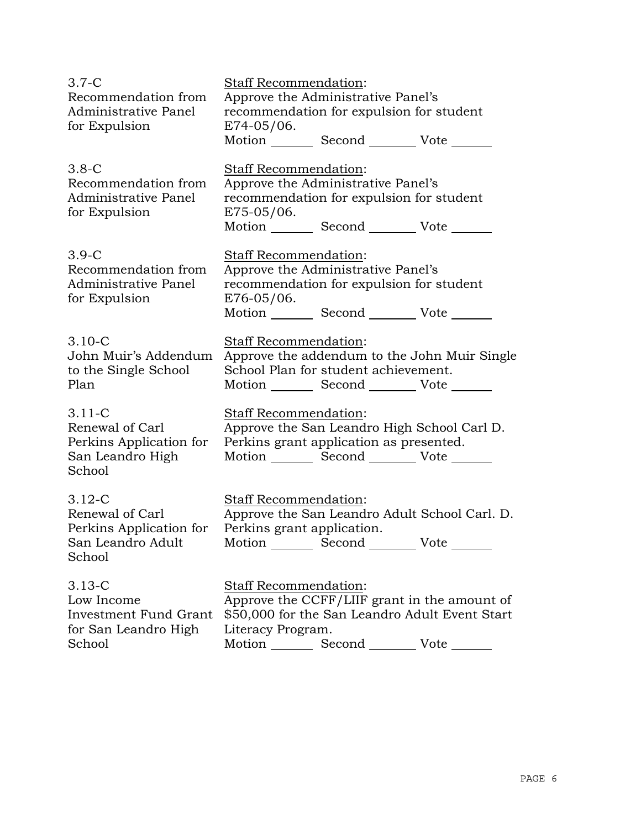| $3.7-C$<br>Recommendation from                                                          | <b>Staff Recommendation:</b><br>Approve the Administrative Panel's                                                                                                              |  |  |
|-----------------------------------------------------------------------------------------|---------------------------------------------------------------------------------------------------------------------------------------------------------------------------------|--|--|
| Administrative Panel<br>for Expulsion                                                   | recommendation for expulsion for student<br>$E74-05/06$ .                                                                                                                       |  |  |
|                                                                                         | Motion _________ Second _________ Vote ______                                                                                                                                   |  |  |
| $3.8-C$<br>Recommendation from<br>Administrative Panel<br>for Expulsion                 | <b>Staff Recommendation:</b><br>Approve the Administrative Panel's<br>recommendation for expulsion for student<br>E75-05/06.<br>Motion _________ Second __________ Vote _______ |  |  |
| $3.9-C$<br>Recommendation from<br>Administrative Panel<br>for Expulsion                 | Staff Recommendation:<br>Approve the Administrative Panel's<br>recommendation for expulsion for student<br>$E76-05/06$ .<br>Motion _________ Second __________ Vote _____       |  |  |
| $3.10 - C$<br>John Muir's Addendum<br>to the Single School<br>Plan                      | Staff Recommendation:<br>Approve the addendum to the John Muir Single<br>School Plan for student achievement.<br>Motion Second Vote                                             |  |  |
| $3.11 - C$<br>Renewal of Carl<br>Perkins Application for<br>San Leandro High<br>School  | Staff Recommendation:<br>Approve the San Leandro High School Carl D.<br>Perkins grant application as presented.<br>Motion _________ Second ___________ Vote _______             |  |  |
| $3.12 - C$<br>Renewal of Carl<br>Perkins Application for<br>San Leandro Adult<br>School | Staff Recommendation:<br>Approve the San Leandro Adult School Carl. D.<br>Perkins grant application.<br>Motion Second Vote                                                      |  |  |
| $3.13 - C$<br>Low Income<br>Investment Fund Grant<br>for San Leandro High<br>School     | Staff Recommendation:<br>Approve the CCFF/LIIF grant in the amount of<br>\$50,000 for the San Leandro Adult Event Start<br>Literacy Program.<br>Motion<br>Second<br>Vote        |  |  |

Motion \_\_\_\_\_\_\_\_\_ Second \_\_\_\_\_\_\_\_\_ Vote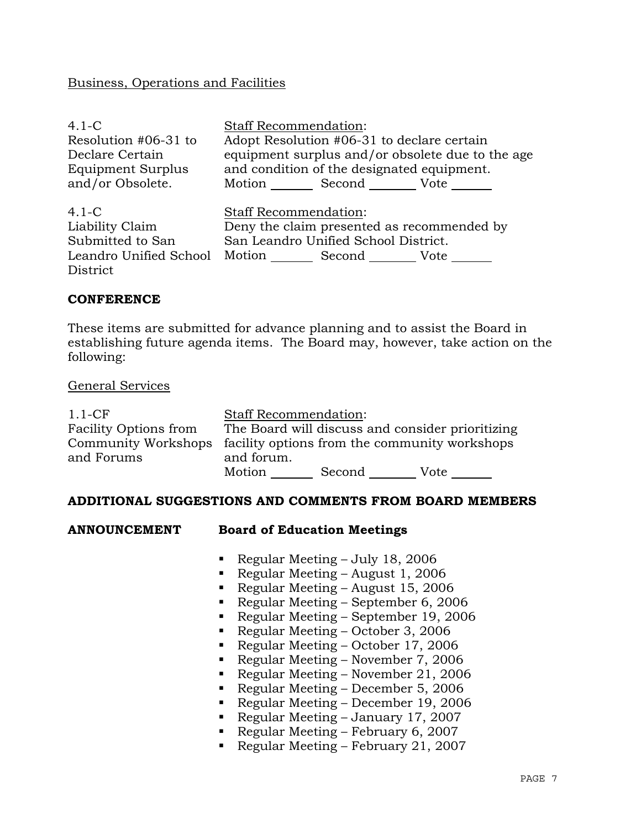# Business, Operations and Facilities

| $4.1-C$                  | <b>Staff Recommendation:</b>                     |  |  |  |
|--------------------------|--------------------------------------------------|--|--|--|
| Resolution #06-31 to     | Adopt Resolution #06-31 to declare certain       |  |  |  |
| Declare Certain          | equipment surplus and/or obsolete due to the age |  |  |  |
| <b>Equipment Surplus</b> | and condition of the designated equipment.       |  |  |  |
| and/or Obsolete.         | Motion Second Vote                               |  |  |  |
| $4.1-C$                  | <b>Staff Recommendation:</b>                     |  |  |  |
| Liability Claim          | Deny the claim presented as recommended by       |  |  |  |
| Submitted to San         | San Leandro Unified School District.             |  |  |  |
| Leandro Unified School   | Motion Second Vote                               |  |  |  |
| District                 |                                                  |  |  |  |

# **CONFERENCE**

These items are submitted for advance planning and to assist the Board in establishing future agenda items. The Board may, however, take action on the following:

#### General Services

| $1.1 - CF$                   | <b>Staff Recommendation:</b>                                      |        |                                                  |  |
|------------------------------|-------------------------------------------------------------------|--------|--------------------------------------------------|--|
| <b>Facility Options from</b> |                                                                   |        | The Board will discuss and consider prioritizing |  |
|                              | Community Workshops facility options from the community workshops |        |                                                  |  |
| and Forums                   | and forum.                                                        |        |                                                  |  |
|                              | Motion                                                            | Second | Vote                                             |  |

#### **ADDITIONAL SUGGESTIONS AND COMMENTS FROM BOARD MEMBERS**

# **ANNO Board of Education Meetings**

- Regular Meeting July 18, 2006
- Regular Meeting August 1, 2006
- Regular Meeting August 15, 2006
- Regular Meeting September 6, 2006
- Regular Meeting September 19, 2006
- Regular Meeting October 3, 2006
- Regular Meeting October 17, 2006
- Regular Meeting November 7, 2006
- Regular Meeting November 21, 2006
- Regular Meeting December 5, 2006
- Regular Meeting December 19, 2006
- Regular Meeting January 17, 2007
- Regular Meeting February 6, 2007
- Regular Meeting February 21, 2007